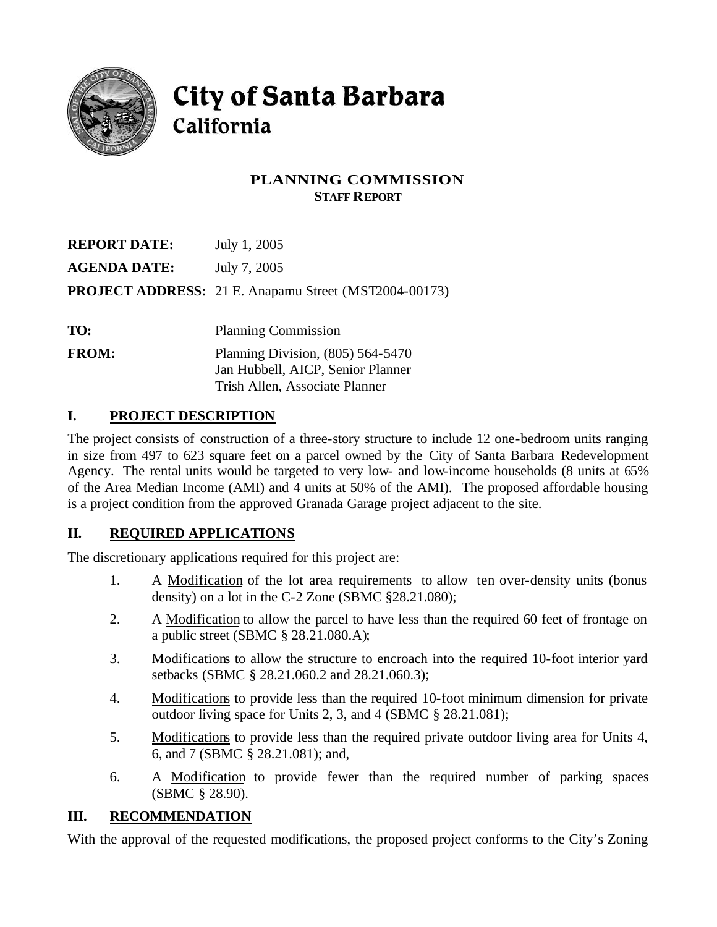

# City of Santa Barbara California

# **PLANNING COMMISSION STAFF REPORT**

| <b>REPORT DATE:</b> | July 1, 2005                                                             |
|---------------------|--------------------------------------------------------------------------|
| <b>AGENDA DATE:</b> | July 7, 2005                                                             |
|                     | <b>PROJECT ADDRESS:</b> 21 E. Anapamu Street (MST2004-00173)             |
| TO:                 | <b>Planning Commission</b>                                               |
| <b>FROM:</b>        | Planning Division, $(805)$ 564-5470<br>Jan Hubbell, AICP, Senior Planner |

Trish Allen, Associate Planner

# **I. PROJECT DESCRIPTION**

The project consists of construction of a three-story structure to include 12 one-bedroom units ranging in size from 497 to 623 square feet on a parcel owned by the City of Santa Barbara Redevelopment Agency. The rental units would be targeted to very low- and low-income households (8 units at 65% of the Area Median Income (AMI) and 4 units at 50% of the AMI). The proposed affordable housing is a project condition from the approved Granada Garage project adjacent to the site.

# **II. REQUIRED APPLICATIONS**

The discretionary applications required for this project are:

- 1. A Modification of the lot area requirements to allow ten over-density units (bonus density) on a lot in the C-2 Zone (SBMC §28.21.080);
- 2. A Modification to allow the parcel to have less than the required 60 feet of frontage on a public street (SBMC § 28.21.080.A);
- 3. Modifications to allow the structure to encroach into the required 10-foot interior yard setbacks (SBMC § 28.21.060.2 and 28.21.060.3);
- 4. Modifications to provide less than the required 10-foot minimum dimension for private outdoor living space for Units 2, 3, and 4 (SBMC § 28.21.081);
- 5. Modifications to provide less than the required private outdoor living area for Units 4, 6, and 7 (SBMC § 28.21.081); and,
- 6. A Modification to provide fewer than the required number of parking spaces (SBMC § 28.90).

## **III. RECOMMENDATION**

With the approval of the requested modifications, the proposed project conforms to the City's Zoning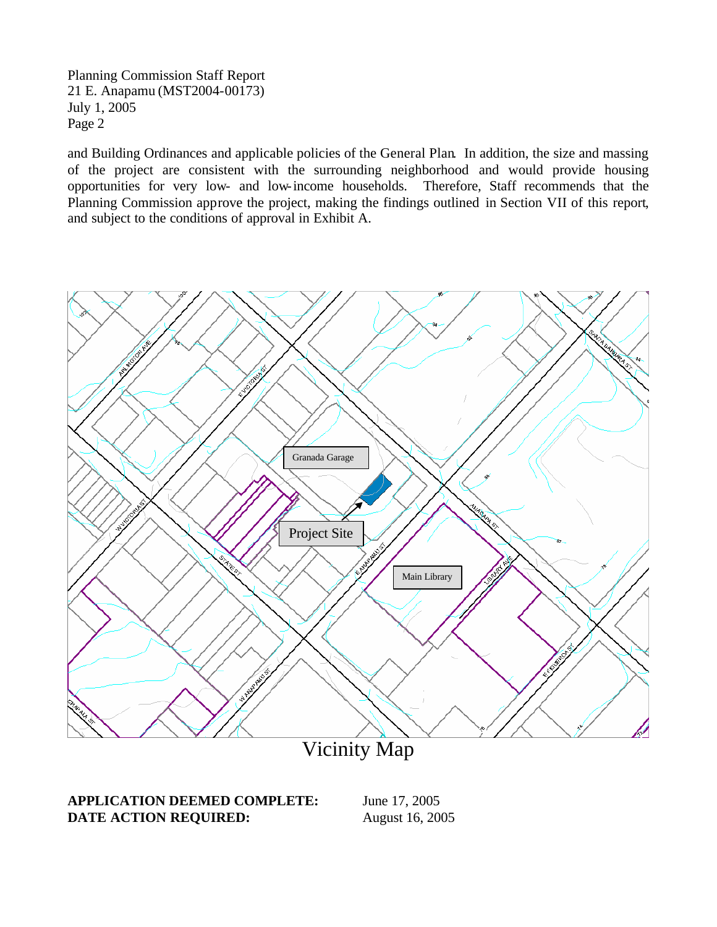and Building Ordinances and applicable policies of the General Plan. In addition, the size and massing of the project are consistent with the surrounding neighborhood and would provide housing opportunities for very low- and low-income households. Therefore, Staff recommends that the Planning Commission approve the project, making the findings outlined in Section VII of this report, and subject to the conditions of approval in Exhibit A.



**APPLICATION DEEMED COMPLETE:** June 17, 2005 **DATE ACTION REQUIRED:** August 16, 2005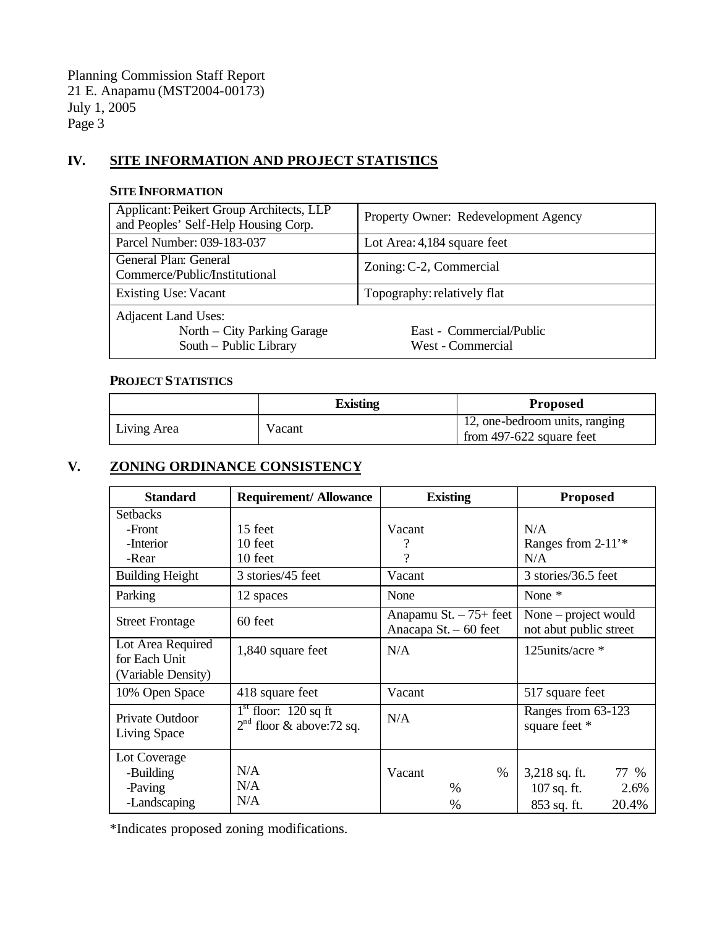## **IV. SITE INFORMATION AND PROJECT STATISTICS**

#### **SITE INFORMATION**

| Applicant: Peikert Group Architects, LLP<br>and Peoples' Self-Help Housing Corp. | Property Owner: Redevelopment Agency          |  |
|----------------------------------------------------------------------------------|-----------------------------------------------|--|
| Parcel Number: 039-183-037                                                       | Lot Area: 4,184 square feet                   |  |
| General Plan: General<br>Commerce/Public/Institutional                           | Zoning: C-2, Commercial                       |  |
| <b>Existing Use: Vacant</b>                                                      | Topography: relatively flat                   |  |
| Adjacent Land Uses:<br>North – City Parking Garage<br>South - Public Library     | East - Commercial/Public<br>West - Commercial |  |

#### **PROJECT STATISTICS**

|             | <b>Existing</b> | <b>Proposed</b>                                            |
|-------------|-----------------|------------------------------------------------------------|
| Living Area | Vacant          | 12, one-bedroom units, ranging<br>from 497-622 square feet |

# **V. ZONING ORDINANCE CONSISTENCY**

| <b>Standard</b>                                          | <b>Requirement/ Allowance</b>                        | <b>Existing</b>                                  | <b>Proposed</b>                                |
|----------------------------------------------------------|------------------------------------------------------|--------------------------------------------------|------------------------------------------------|
| <b>Setbacks</b>                                          |                                                      |                                                  |                                                |
| -Front                                                   | 15 feet                                              | Vacant                                           | N/A                                            |
| -Interior                                                | 10 feet                                              |                                                  | Ranges from $2-11$ <sup>*</sup>                |
| -Rear                                                    | 10 feet                                              | ?                                                | N/A                                            |
| <b>Building Height</b>                                   | 3 stories/45 feet                                    | Vacant                                           | 3 stories/36.5 feet                            |
| Parking                                                  | 12 spaces                                            | None                                             | None $*$                                       |
| <b>Street Frontage</b>                                   | 60 feet                                              | Anapamu St. $-75+$ feet<br>Anacapa St. - 60 feet | None – project would<br>not abut public street |
| Lot Area Required<br>for Each Unit<br>(Variable Density) | 1,840 square feet                                    | N/A                                              | 125units/acre *                                |
| 10% Open Space                                           | 418 square feet                                      | Vacant                                           | 517 square feet                                |
| Private Outdoor<br>Living Space                          | $1st$ floor: 120 sq ft<br>$2nd$ floor & above:72 sq. | N/A                                              | Ranges from 63-123<br>square feet *            |
| Lot Coverage                                             |                                                      |                                                  |                                                |
| -Building                                                | N/A                                                  | $\%$<br>Vacant                                   | $3,218$ sq. ft.<br>77 %                        |
| -Paving                                                  | N/A                                                  | $\frac{0}{0}$                                    | 107 sq. ft.<br>2.6%                            |
| -Landscaping                                             | N/A                                                  | $\%$                                             | 20.4%<br>853 sq. ft.                           |

\*Indicates proposed zoning modifications.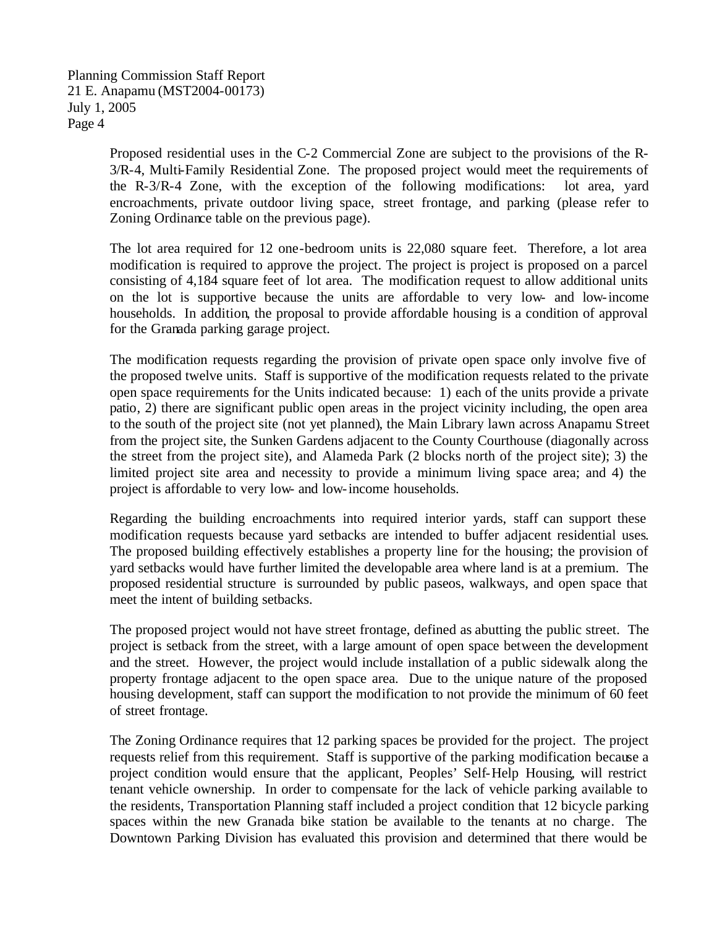> Proposed residential uses in the C-2 Commercial Zone are subject to the provisions of the R-3/R-4, Multi-Family Residential Zone. The proposed project would meet the requirements of the R-3/R-4 Zone, with the exception of the following modifications: lot area, yard encroachments, private outdoor living space, street frontage, and parking (please refer to Zoning Ordinance table on the previous page).

> The lot area required for 12 one-bedroom units is 22,080 square feet. Therefore, a lot area modification is required to approve the project. The project is project is proposed on a parcel consisting of 4,184 square feet of lot area. The modification request to allow additional units on the lot is supportive because the units are affordable to very low- and low-income households. In addition, the proposal to provide affordable housing is a condition of approval for the Granada parking garage project.

> The modification requests regarding the provision of private open space only involve five of the proposed twelve units. Staff is supportive of the modification requests related to the private open space requirements for the Units indicated because: 1) each of the units provide a private patio, 2) there are significant public open areas in the project vicinity including, the open area to the south of the project site (not yet planned), the Main Library lawn across Anapamu Street from the project site, the Sunken Gardens adjacent to the County Courthouse (diagonally across the street from the project site), and Alameda Park (2 blocks north of the project site); 3) the limited project site area and necessity to provide a minimum living space area; and 4) the project is affordable to very low- and low-income households.

> Regarding the building encroachments into required interior yards, staff can support these modification requests because yard setbacks are intended to buffer adjacent residential uses. The proposed building effectively establishes a property line for the housing; the provision of yard setbacks would have further limited the developable area where land is at a premium. The proposed residential structure is surrounded by public paseos, walkways, and open space that meet the intent of building setbacks.

> The proposed project would not have street frontage, defined as abutting the public street. The project is setback from the street, with a large amount of open space between the development and the street. However, the project would include installation of a public sidewalk along the property frontage adjacent to the open space area. Due to the unique nature of the proposed housing development, staff can support the modification to not provide the minimum of 60 feet of street frontage.

> The Zoning Ordinance requires that 12 parking spaces be provided for the project. The project requests relief from this requirement. Staff is supportive of the parking modification because a project condition would ensure that the applicant, Peoples' Self-Help Housing, will restrict tenant vehicle ownership. In order to compensate for the lack of vehicle parking available to the residents, Transportation Planning staff included a project condition that 12 bicycle parking spaces within the new Granada bike station be available to the tenants at no charge. The Downtown Parking Division has evaluated this provision and determined that there would be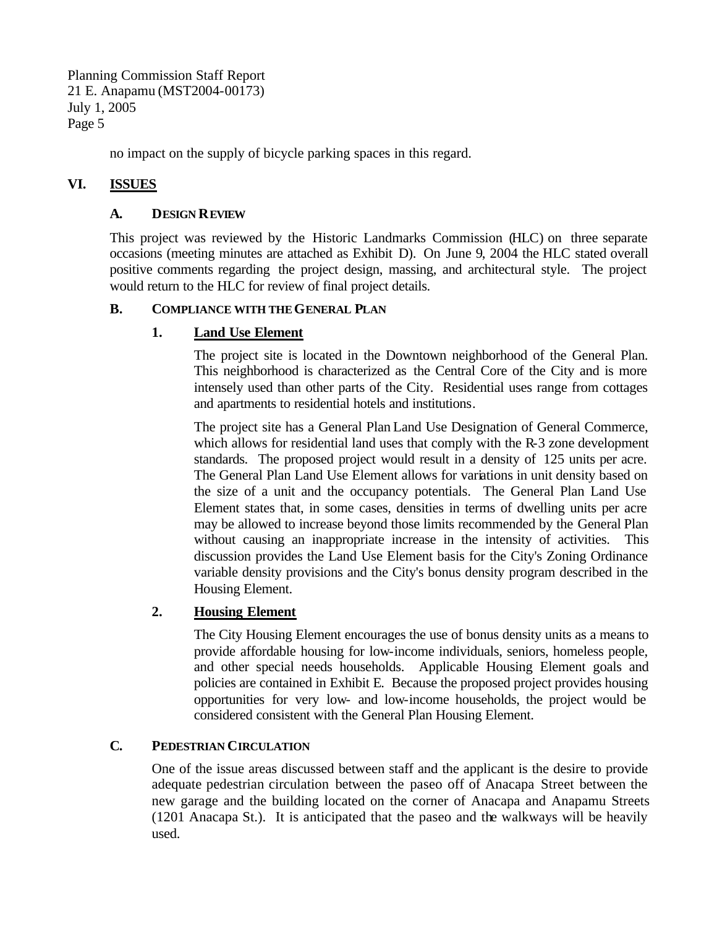no impact on the supply of bicycle parking spaces in this regard.

## **VI. ISSUES**

#### **A. DESIGN REVIEW**

This project was reviewed by the Historic Landmarks Commission (HLC) on three separate occasions (meeting minutes are attached as Exhibit D). On June 9, 2004 the HLC stated overall positive comments regarding the project design, massing, and architectural style. The project would return to the HLC for review of final project details.

#### **B. COMPLIANCE WITH THEGENERAL PLAN**

## **1. Land Use Element**

The project site is located in the Downtown neighborhood of the General Plan. This neighborhood is characterized as the Central Core of the City and is more intensely used than other parts of the City. Residential uses range from cottages and apartments to residential hotels and institutions.

The project site has a General Plan Land Use Designation of General Commerce, which allows for residential land uses that comply with the R-3 zone development standards. The proposed project would result in a density of 125 units per acre. The General Plan Land Use Element allows for variations in unit density based on the size of a unit and the occupancy potentials. The General Plan Land Use Element states that, in some cases, densities in terms of dwelling units per acre may be allowed to increase beyond those limits recommended by the General Plan without causing an inappropriate increase in the intensity of activities. This discussion provides the Land Use Element basis for the City's Zoning Ordinance variable density provisions and the City's bonus density program described in the Housing Element.

## **2. Housing Element**

The City Housing Element encourages the use of bonus density units as a means to provide affordable housing for low-income individuals, seniors, homeless people, and other special needs households. Applicable Housing Element goals and policies are contained in Exhibit E. Because the proposed project provides housing opportunities for very low- and low-income households, the project would be considered consistent with the General Plan Housing Element.

## **C. PEDESTRIAN CIRCULATION**

One of the issue areas discussed between staff and the applicant is the desire to provide adequate pedestrian circulation between the paseo off of Anacapa Street between the new garage and the building located on the corner of Anacapa and Anapamu Streets (1201 Anacapa St.). It is anticipated that the paseo and the walkways will be heavily used.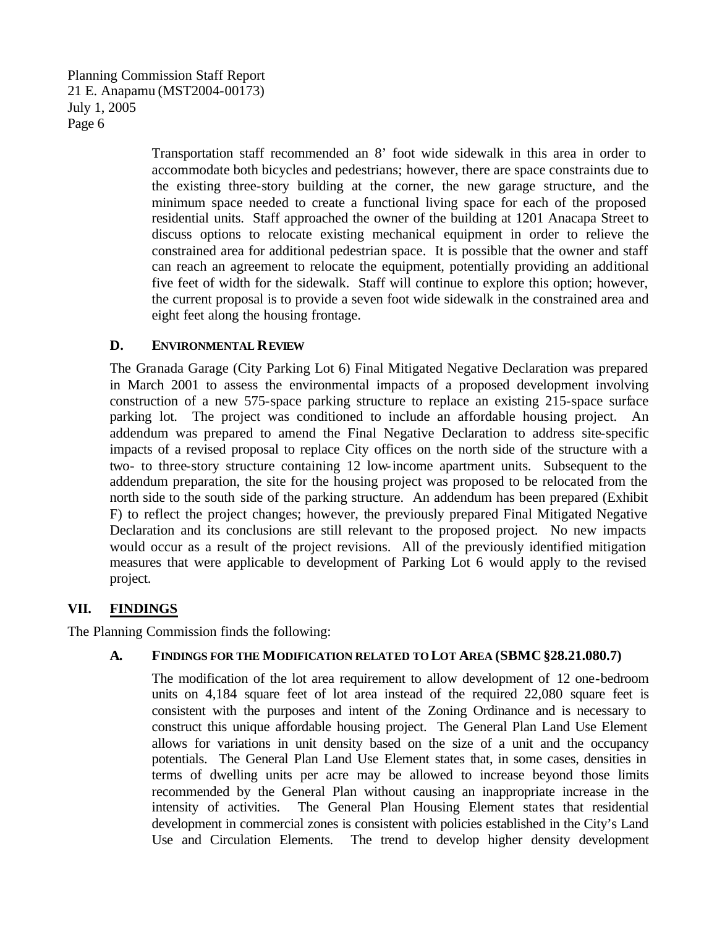> Transportation staff recommended an 8' foot wide sidewalk in this area in order to accommodate both bicycles and pedestrians; however, there are space constraints due to the existing three-story building at the corner, the new garage structure, and the minimum space needed to create a functional living space for each of the proposed residential units. Staff approached the owner of the building at 1201 Anacapa Street to discuss options to relocate existing mechanical equipment in order to relieve the constrained area for additional pedestrian space. It is possible that the owner and staff can reach an agreement to relocate the equipment, potentially providing an additional five feet of width for the sidewalk. Staff will continue to explore this option; however, the current proposal is to provide a seven foot wide sidewalk in the constrained area and eight feet along the housing frontage.

#### **D. ENVIRONMENTAL REVIEW**

The Granada Garage (City Parking Lot 6) Final Mitigated Negative Declaration was prepared in March 2001 to assess the environmental impacts of a proposed development involving construction of a new 575-space parking structure to replace an existing 215-space surface parking lot. The project was conditioned to include an affordable housing project. An addendum was prepared to amend the Final Negative Declaration to address site-specific impacts of a revised proposal to replace City offices on the north side of the structure with a two- to three-story structure containing 12 low-income apartment units. Subsequent to the addendum preparation, the site for the housing project was proposed to be relocated from the north side to the south side of the parking structure. An addendum has been prepared (Exhibit F) to reflect the project changes; however, the previously prepared Final Mitigated Negative Declaration and its conclusions are still relevant to the proposed project. No new impacts would occur as a result of the project revisions. All of the previously identified mitigation measures that were applicable to development of Parking Lot 6 would apply to the revised project.

## **VII. FINDINGS**

The Planning Commission finds the following:

#### **A. FINDINGS FOR THE MODIFICATION RELATED TO LOT AREA (SBMC§28.21.080.7)**

The modification of the lot area requirement to allow development of 12 one-bedroom units on 4,184 square feet of lot area instead of the required 22,080 square feet is consistent with the purposes and intent of the Zoning Ordinance and is necessary to construct this unique affordable housing project. The General Plan Land Use Element allows for variations in unit density based on the size of a unit and the occupancy potentials. The General Plan Land Use Element states that, in some cases, densities in terms of dwelling units per acre may be allowed to increase beyond those limits recommended by the General Plan without causing an inappropriate increase in the intensity of activities. The General Plan Housing Element states that residential development in commercial zones is consistent with policies established in the City's Land Use and Circulation Elements. The trend to develop higher density development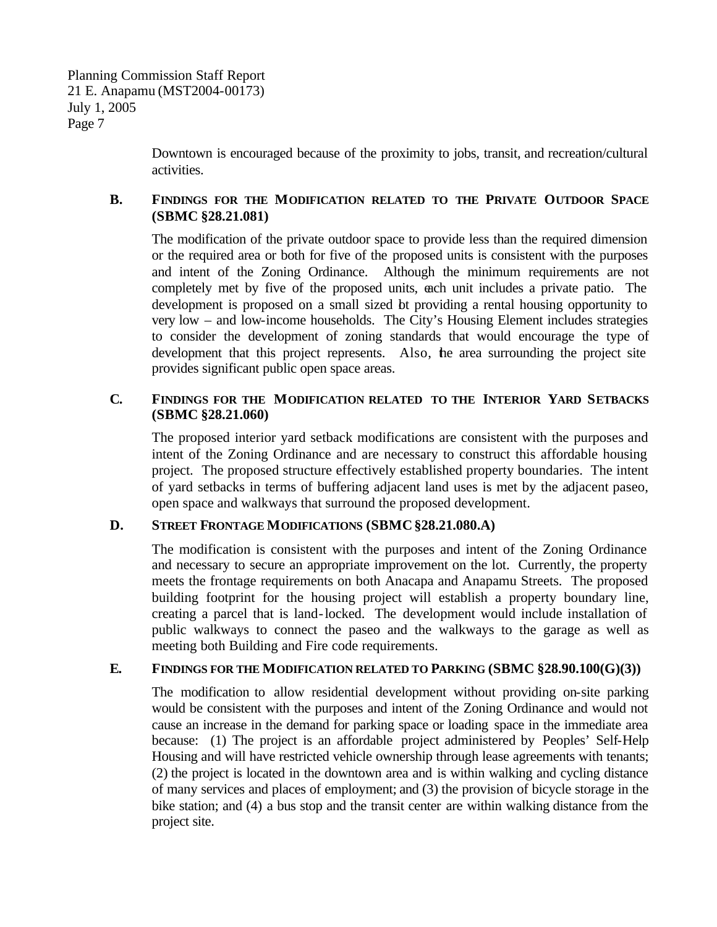Downtown is encouraged because of the proximity to jobs, transit, and recreation/cultural activities.

#### **B. FINDINGS FOR THE MODIFICATION RELATED TO THE PRIVATE OUTDOOR SPACE (SBMC §28.21.081)**

The modification of the private outdoor space to provide less than the required dimension or the required area or both for five of the proposed units is consistent with the purposes and intent of the Zoning Ordinance. Although the minimum requirements are not completely met by five of the proposed units, each unit includes a private patio. The development is proposed on a small sized bt providing a rental housing opportunity to very low – and low-income households. The City's Housing Element includes strategies to consider the development of zoning standards that would encourage the type of development that this project represents. Also, the area surrounding the project site provides significant public open space areas.

#### **C. FINDINGS FOR THE MODIFICATION RELATED TO THE INTERIOR YARD SETBACKS (SBMC §28.21.060)**

The proposed interior yard setback modifications are consistent with the purposes and intent of the Zoning Ordinance and are necessary to construct this affordable housing project. The proposed structure effectively established property boundaries. The intent of yard setbacks in terms of buffering adjacent land uses is met by the adjacent paseo, open space and walkways that surround the proposed development.

#### **D. STREET FRONTAGE MODIFICATIONS (SBMC§28.21.080.A)**

The modification is consistent with the purposes and intent of the Zoning Ordinance and necessary to secure an appropriate improvement on the lot. Currently, the property meets the frontage requirements on both Anacapa and Anapamu Streets. The proposed building footprint for the housing project will establish a property boundary line, creating a parcel that is land-locked. The development would include installation of public walkways to connect the paseo and the walkways to the garage as well as meeting both Building and Fire code requirements.

#### **E. FINDINGS FOR THE MODIFICATION RELATED TO PARKING (SBMC §28.90.100(G)(3))**

The modification to allow residential development without providing on-site parking would be consistent with the purposes and intent of the Zoning Ordinance and would not cause an increase in the demand for parking space or loading space in the immediate area because: (1) The project is an affordable project administered by Peoples' Self-Help Housing and will have restricted vehicle ownership through lease agreements with tenants; (2) the project is located in the downtown area and is within walking and cycling distance of many services and places of employment; and (3) the provision of bicycle storage in the bike station; and (4) a bus stop and the transit center are within walking distance from the project site.